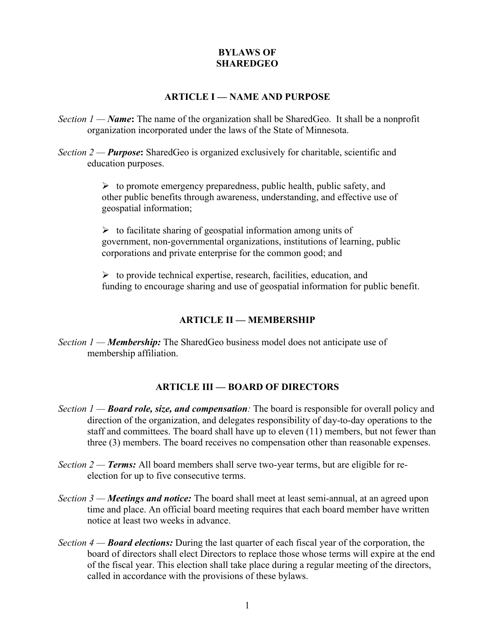## **BYLAWS OF SHAREDGEO**

#### **ARTICLE I — NAME AND PURPOSE**

- *Section 1 — Name***:** The name of the organization shall be SharedGeo. It shall be a nonprofit organization incorporated under the laws of the State of Minnesota.
- *Section 2 — Purpose***:** SharedGeo is organized exclusively for charitable, scientific and education purposes.

 $\triangleright$  to promote emergency preparedness, public health, public safety, and other public benefits through awareness, understanding, and effective use of geospatial information;

 $\triangleright$  to facilitate sharing of geospatial information among units of government, non-governmental organizations, institutions of learning, public corporations and private enterprise for the common good; and

 $\triangleright$  to provide technical expertise, research, facilities, education, and funding to encourage sharing and use of geospatial information for public benefit.

# **ARTICLE II — MEMBERSHIP**

*Section 1 — Membership:* The SharedGeo business model does not anticipate use of membership affiliation.

### **ARTICLE III — BOARD OF DIRECTORS**

- *Section 1 — Board role, size, and compensation:* The board is responsible for overall policy and direction of the organization, and delegates responsibility of day-to-day operations to the staff and committees. The board shall have up to eleven (11) members, but not fewer than three (3) members. The board receives no compensation other than reasonable expenses.
- *Section 2 Terms*: All board members shall serve two-year terms, but are eligible for reelection for up to five consecutive terms.
- *Section 3 — Meetings and notice:* The board shall meet at least semi-annual, at an agreed upon time and place. An official board meeting requires that each board member have written notice at least two weeks in advance.
- *Section 4 — Board elections:* During the last quarter of each fiscal year of the corporation, the board of directors shall elect Directors to replace those whose terms will expire at the end of the fiscal year. This election shall take place during a regular meeting of the directors, called in accordance with the provisions of these bylaws.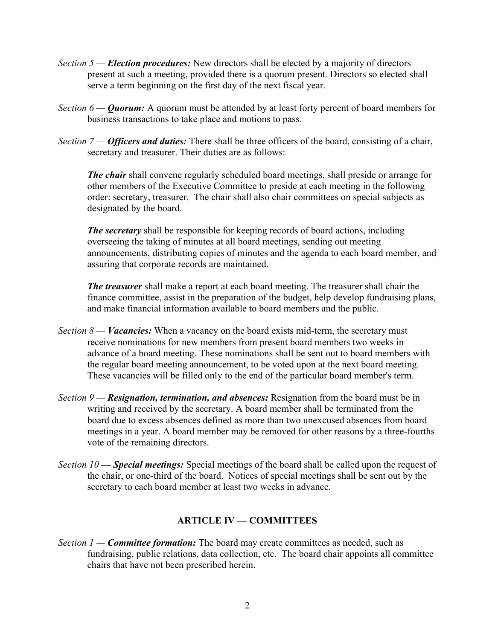- *Section 5 — Election procedures:* New directors shall be elected by a majority of directors present at such a meeting, provided there is a quorum present. Directors so elected shall serve a term beginning on the first day of the next fiscal year.
- *Section 6 Quorum:* A quorum must be attended by at least forty percent of board members for business transactions to take place and motions to pass.
- *Section 7 — Officers and duties:* There shall be three officers of the board, consisting of a chair, secretary and treasurer. Their duties are as follows:

*The chair* shall convene regularly scheduled board meetings, shall preside or arrange for other members of the Executive Committee to preside at each meeting in the following order: secretary, treasurer. The chair shall also chair committees on special subjects as designated by the board.

*The secretary* shall be responsible for keeping records of board actions, including overseeing the taking of minutes at all board meetings, sending out meeting announcements, distributing copies of minutes and the agenda to each board member, and assuring that corporate records are maintained.

*The treasurer* shall make a report at each board meeting. The treasurer shall chair the finance committee, assist in the preparation of the budget, help develop fundraising plans, and make financial information available to board members and the public.

- *Section 8 Vacancies:* When a vacancy on the board exists mid-term, the secretary must receive nominations for new members from present board members two weeks in advance of a board meeting. These nominations shall be sent out to board members with the regular board meeting announcement, to be voted upon at the next board meeting. These vacancies will be filled only to the end of the particular board member's term.
- *Section 9 — Resignation, termination, and absences:* Resignation from the board must be in writing and received by the secretary. A board member shall be terminated from the board due to excess absences defined as more than two unexcused absences from board meetings in a year. A board member may be removed for other reasons by a three-fourths vote of the remaining directors.
- *Section 10 Special meetings:* Special meetings of the board shall be called upon the request of the chair, or one-third of the board. Notices of special meetings shall be sent out by the secretary to each board member at least two weeks in advance.

### **ARTICLE IV — COMMITTEES**

*Section 1* — *Committee formation:* The board may create committees as needed, such as fundraising, public relations, data collection, etc. The board chair appoints all committee chairs that have not been prescribed herein.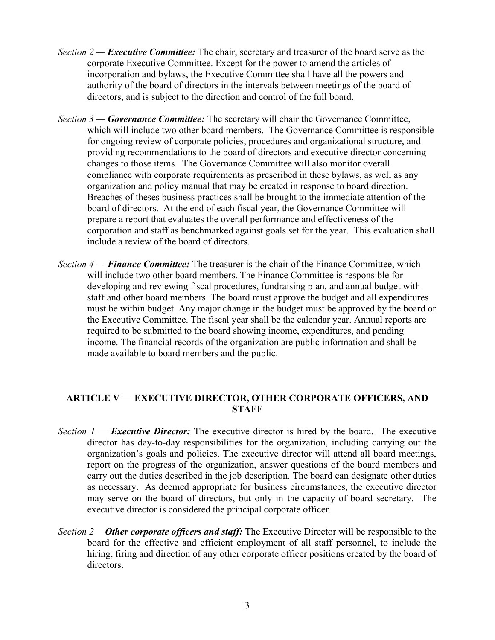- *Section 2 — Executive Committee:* The chair, secretary and treasurer of the board serve as the corporate Executive Committee. Except for the power to amend the articles of incorporation and bylaws, the Executive Committee shall have all the powers and authority of the board of directors in the intervals between meetings of the board of directors, and is subject to the direction and control of the full board.
- *Section 3 — Governance Committee:* The secretary will chair the Governance Committee, which will include two other board members. The Governance Committee is responsible for ongoing review of corporate policies, procedures and organizational structure, and providing recommendations to the board of directors and executive director concerning changes to those items. The Governance Committee will also monitor overall compliance with corporate requirements as prescribed in these bylaws, as well as any organization and policy manual that may be created in response to board direction. Breaches of theses business practices shall be brought to the immediate attention of the board of directors. At the end of each fiscal year, the Governance Committee will prepare a report that evaluates the overall performance and effectiveness of the corporation and staff as benchmarked against goals set for the year. This evaluation shall include a review of the board of directors.
- *Section 4 — Finance Committee:* The treasurer is the chair of the Finance Committee, which will include two other board members. The Finance Committee is responsible for developing and reviewing fiscal procedures, fundraising plan, and annual budget with staff and other board members. The board must approve the budget and all expenditures must be within budget. Any major change in the budget must be approved by the board or the Executive Committee. The fiscal year shall be the calendar year. Annual reports are required to be submitted to the board showing income, expenditures, and pending income. The financial records of the organization are public information and shall be made available to board members and the public.

### **ARTICLE V — EXECUTIVE DIRECTOR, OTHER CORPORATE OFFICERS, AND STAFF**

- *Section 1 Executive Director:* The executive director is hired by the board. The executive director has day-to-day responsibilities for the organization, including carrying out the organization's goals and policies. The executive director will attend all board meetings, report on the progress of the organization, answer questions of the board members and carry out the duties described in the job description. The board can designate other duties as necessary. As deemed appropriate for business circumstances, the executive director may serve on the board of directors, but only in the capacity of board secretary. The executive director is considered the principal corporate officer.
- *Section 2— Other corporate officers and staff:* The Executive Director will be responsible to the board for the effective and efficient employment of all staff personnel, to include the hiring, firing and direction of any other corporate officer positions created by the board of directors.